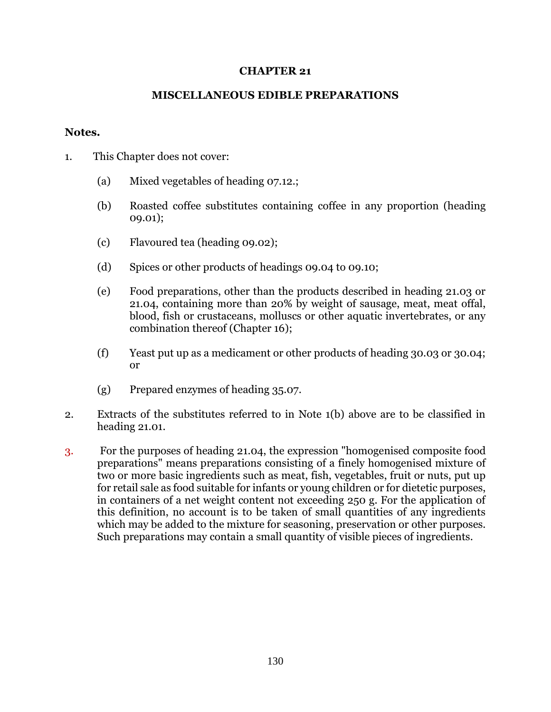## **CHAPTER 21**

## **MISCELLANEOUS EDIBLE PREPARATIONS**

## **Notes.**

- 1. This Chapter does not cover:
	- (a) Mixed vegetables of heading 07.12.;
	- (b) Roasted coffee substitutes containing coffee in any proportion (heading 09.01);
	- (c) Flavoured tea (heading 09.02);
	- (d) Spices or other products of headings 09.04 to 09.10;
	- (e) Food preparations, other than the products described in heading 21.03 or 21.04, containing more than 20% by weight of sausage, meat, meat offal, blood, fish or crustaceans, molluscs or other aquatic invertebrates, or any combination thereof (Chapter 16);
	- (f) Yeast put up as a medicament or other products of heading 30.03 or 30.04; or
	- (g) Prepared enzymes of heading 35.07.
- 2. Extracts of the substitutes referred to in Note 1(b) above are to be classified in heading 21.01.
- 3. For the purposes of heading 21.04, the expression "homogenised composite food preparations" means preparations consisting of a finely homogenised mixture of two or more basic ingredients such as meat, fish, vegetables, fruit or nuts, put up for retail sale as food suitable for infants or young children or for dietetic purposes, in containers of a net weight content not exceeding 250 g. For the application of this definition, no account is to be taken of small quantities of any ingredients which may be added to the mixture for seasoning, preservation or other purposes. Such preparations may contain a small quantity of visible pieces of ingredients.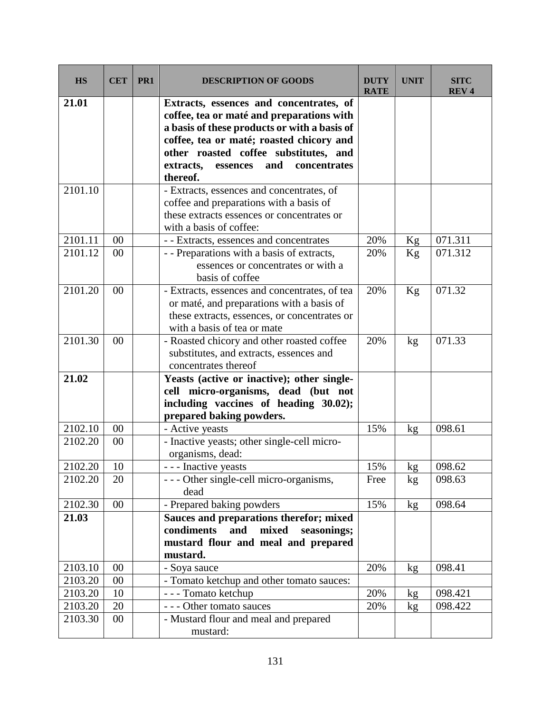| <b>HS</b> | <b>CET</b> | PR <sub>1</sub> | <b>DESCRIPTION OF GOODS</b>                                                                                                                                                                                                                                                           | <b>DUTY</b><br><b>RATE</b> | <b>UNIT</b>     | <b>SITC</b><br><b>REV4</b> |
|-----------|------------|-----------------|---------------------------------------------------------------------------------------------------------------------------------------------------------------------------------------------------------------------------------------------------------------------------------------|----------------------------|-----------------|----------------------------|
| 21.01     |            |                 | Extracts, essences and concentrates, of<br>coffee, tea or maté and preparations with<br>a basis of these products or with a basis of<br>coffee, tea or maté; roasted chicory and<br>other roasted coffee substitutes, and<br>concentrates<br>extracts,<br>essences<br>and<br>thereof. |                            |                 |                            |
| 2101.10   |            |                 | - Extracts, essences and concentrates, of<br>coffee and preparations with a basis of<br>these extracts essences or concentrates or<br>with a basis of coffee:                                                                                                                         |                            |                 |                            |
| 2101.11   | 00         |                 | - - Extracts, essences and concentrates                                                                                                                                                                                                                                               | 20%                        | Kg              | 071.311                    |
| 2101.12   | 00         |                 | - - Preparations with a basis of extracts,<br>essences or concentrates or with a<br>basis of coffee                                                                                                                                                                                   | 20%                        | Kg              | 071.312                    |
| 2101.20   | 00         |                 | - Extracts, essences and concentrates, of tea<br>or maté, and preparations with a basis of<br>these extracts, essences, or concentrates or<br>with a basis of tea or mate                                                                                                             | 20%                        | Kg              | 071.32                     |
| 2101.30   | 00         |                 | - Roasted chicory and other roasted coffee<br>substitutes, and extracts, essences and<br>concentrates thereof                                                                                                                                                                         | 20%                        | kg              | 071.33                     |
| 21.02     |            |                 | Yeasts (active or inactive); other single-<br>cell micro-organisms, dead (but not<br>including vaccines of heading 30.02);<br>prepared baking powders.                                                                                                                                |                            |                 |                            |
| 2102.10   | 00         |                 | - Active yeasts                                                                                                                                                                                                                                                                       | 15%                        | kg              | 098.61                     |
| 2102.20   | 00         |                 | - Inactive yeasts; other single-cell micro-<br>organisms, dead:                                                                                                                                                                                                                       |                            |                 |                            |
| 2102.20   | 10         |                 | - - - Inactive yeasts                                                                                                                                                                                                                                                                 | 15%                        | <u>kg</u>       | 098.62                     |
| 2102.20   | 20         |                 | --- Other single-cell micro-organisms,<br>dead                                                                                                                                                                                                                                        | Free                       | kg              | 098.63                     |
| 2102.30   | 00         |                 | - Prepared baking powders                                                                                                                                                                                                                                                             | 15%                        | kg <sub>2</sub> | 098.64                     |
| 21.03     |            |                 | Sauces and preparations therefor; mixed<br>condiments<br>mixed<br>and<br>seasonings;<br>mustard flour and meal and prepared<br>mustard.                                                                                                                                               |                            |                 |                            |
| 2103.10   | 00         |                 | - Soya sauce                                                                                                                                                                                                                                                                          | 20%                        | kg <sub>2</sub> | 098.41                     |
| 2103.20   | 00         |                 | - Tomato ketchup and other tomato sauces:                                                                                                                                                                                                                                             |                            |                 |                            |
| 2103.20   | 10         |                 | - - - Tomato ketchup                                                                                                                                                                                                                                                                  | 20%                        | kg              | 098.421                    |
| 2103.20   | 20         |                 | --- Other tomato sauces                                                                                                                                                                                                                                                               | 20%                        | kg              | 098.422                    |
| 2103.30   | 00         |                 | - Mustard flour and meal and prepared<br>mustard:                                                                                                                                                                                                                                     |                            |                 |                            |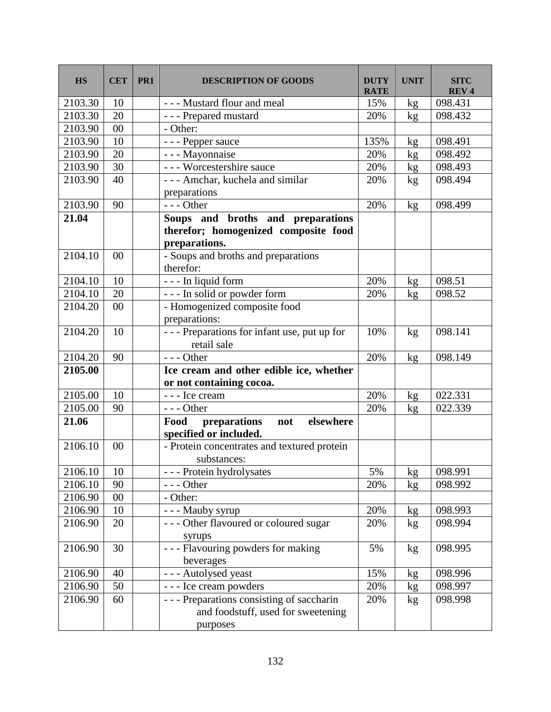| <b>HS</b> | <b>CET</b>     | PR <sub>1</sub> | <b>DESCRIPTION OF GOODS</b>                                     | <b>DUTY</b><br><b>RATE</b> | UNIT | SITC<br><b>REV4</b> |
|-----------|----------------|-----------------|-----------------------------------------------------------------|----------------------------|------|---------------------|
| 2103.30   | 10             |                 | - - - Mustard flour and meal                                    | 15%                        | kg   | 098.431             |
| 2103.30   | 20             |                 | - - - Prepared mustard                                          | 20%                        | kg   | 098.432             |
| 2103.90   | 00             |                 | - Other:                                                        |                            |      |                     |
| 2103.90   | 10             |                 | - - - Pepper sauce                                              | 135%                       | kg   | 098.491             |
| 2103.90   | 20             |                 | - - - Mayonnaise                                                | 20%                        | kg   | 098.492             |
| 2103.90   | 30             |                 | - - - Worcestershire sauce                                      | 20%                        | kg   | 098.493             |
| 2103.90   | 40             |                 | - - - Amchar, kuchela and similar                               | 20%                        | kg   | 098.494             |
|           |                |                 | preparations                                                    |                            |      |                     |
| 2103.90   | 90             |                 | $--$ Other                                                      | 20%                        | kg   | 098.499             |
| 21.04     |                |                 | Soups and broths and preparations                               |                            |      |                     |
|           |                |                 | therefor; homogenized composite food                            |                            |      |                     |
|           |                |                 | preparations.                                                   |                            |      |                     |
| 2104.10   | 00             |                 | - Soups and broths and preparations                             |                            |      |                     |
|           |                |                 | therefor:                                                       |                            |      |                     |
| 2104.10   | 10             |                 | - - - In liquid form                                            | 20%                        | kg   | 098.51              |
| 2104.10   | 20             |                 | --- In solid or powder form                                     | 20%                        | kg   | 098.52              |
| 2104.20   | 00             |                 | - Homogenized composite food                                    |                            |      |                     |
|           |                |                 | preparations:                                                   |                            |      |                     |
| 2104.20   | 10             |                 | --- Preparations for infant use, put up for<br>retail sale      | 10%                        | kg   | 098.141             |
| 2104.20   | 90             |                 | $--$ Other                                                      | 20%                        | kg   | 098.149             |
| 2105.00   |                |                 | Ice cream and other edible ice, whether                         |                            |      |                     |
|           |                |                 | or not containing cocoa.                                        |                            |      |                     |
| 2105.00   | 10             |                 | - - - Ice cream                                                 | 20%                        | kg   | 022.331             |
| 2105.00   | 90             |                 | $--$ Other                                                      | 20%                        | kg   | 022.339             |
| 21.06     |                |                 | elsewhere<br>Food<br>preparations not<br>specified or included. |                            |      |                     |
| 2106.10   | 0 <sub>0</sub> |                 | - Protein concentrates and textured protein<br>substances:      |                            |      |                     |
| 2106.10   | 10             |                 | - - - Protein hydrolysates                                      | 5%                         | kg   | 098.991             |
| 2106.10   | 90             |                 | --- Other                                                       | 20%                        | kg   | 098.992             |
| 2106.90   | 00             |                 | - Other:                                                        |                            |      |                     |
| 2106.90   | 10             |                 | - - - Mauby syrup                                               | 20%                        | kg   | 098.993             |
| 2106.90   | 20             |                 | --- Other flavoured or coloured sugar                           | 20%                        | kg   | 098.994             |
|           |                |                 | syrups                                                          |                            |      |                     |
| 2106.90   | 30             |                 | --- Flavouring powders for making                               | 5%                         | kg   | 098.995             |
| 2106.90   | 40             |                 | beverages<br>- - - Autolysed yeast                              | 15%                        |      | 098.996             |
| 2106.90   | 50             |                 | - - - Ice cream powders                                         | 20%                        | kg   | 098.997             |
| 2106.90   | 60             |                 | --- Preparations consisting of saccharin                        | 20%                        | kg   | 098.998             |
|           |                |                 | and foodstuff, used for sweetening<br>purposes                  |                            | kg   |                     |